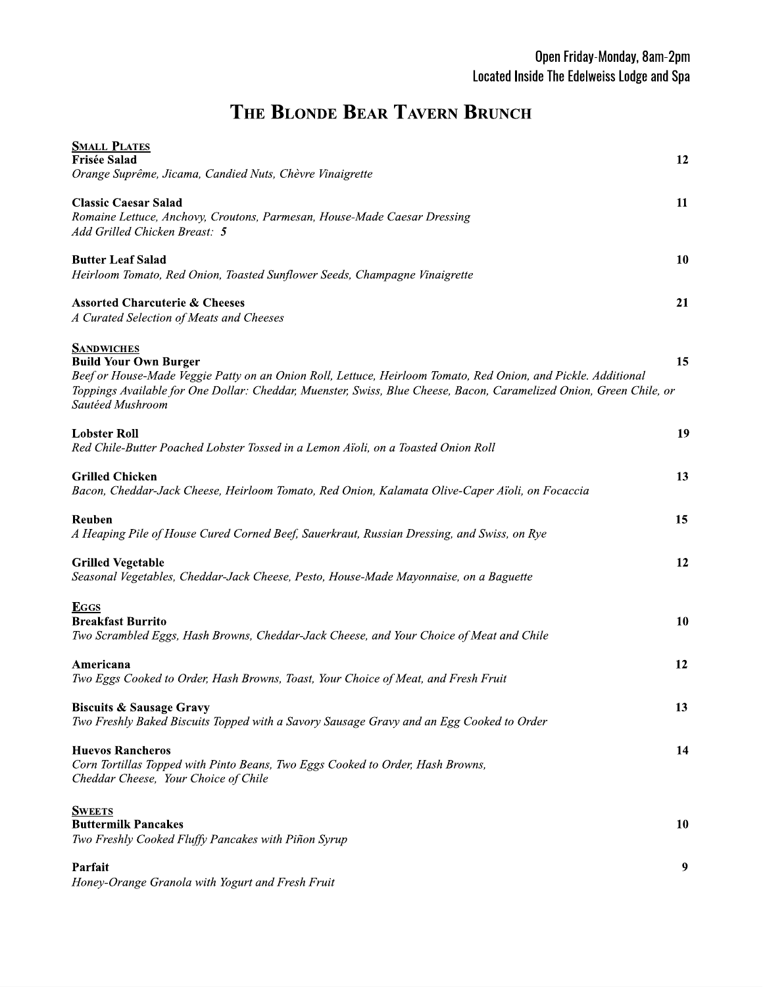## THE BLONDE BEAR TAVERN BRUNCH

| <b>SMALL PLATES</b>                                                                                                 |    |
|---------------------------------------------------------------------------------------------------------------------|----|
| <b>Frisée Salad</b><br>Orange Suprême, Jicama, Candied Nuts, Chèvre Vinaigrette                                     | 12 |
|                                                                                                                     |    |
| <b>Classic Caesar Salad</b>                                                                                         | 11 |
| Romaine Lettuce, Anchovy, Croutons, Parmesan, House-Made Caesar Dressing                                            |    |
| Add Grilled Chicken Breast: 5                                                                                       |    |
| <b>Butter Leaf Salad</b>                                                                                            | 10 |
| Heirloom Tomato, Red Onion, Toasted Sunflower Seeds, Champagne Vinaigrette                                          |    |
|                                                                                                                     |    |
| <b>Assorted Charcuterie &amp; Cheeses</b>                                                                           | 21 |
| A Curated Selection of Meats and Cheeses                                                                            |    |
| <b>SANDWICHES</b>                                                                                                   |    |
| <b>Build Your Own Burger</b>                                                                                        | 15 |
| Beef or House-Made Veggie Patty on an Onion Roll, Lettuce, Heirloom Tomato, Red Onion, and Pickle. Additional       |    |
| Toppings Available for One Dollar: Cheddar, Muenster, Swiss, Blue Cheese, Bacon, Caramelized Onion, Green Chile, or |    |
| Sautéed Mushroom                                                                                                    |    |
| <b>Lobster Roll</b>                                                                                                 | 19 |
| Red Chile-Butter Poached Lobster Tossed in a Lemon Aïoli, on a Toasted Onion Roll                                   |    |
|                                                                                                                     |    |
| <b>Grilled Chicken</b>                                                                                              | 13 |
| Bacon, Cheddar-Jack Cheese, Heirloom Tomato, Red Onion, Kalamata Olive-Caper Aïoli, on Focaccia                     |    |
| Reuben                                                                                                              | 15 |
| A Heaping Pile of House Cured Corned Beef, Sauerkraut, Russian Dressing, and Swiss, on Rye                          |    |
|                                                                                                                     |    |
| <b>Grilled Vegetable</b>                                                                                            | 12 |
| Seasonal Vegetables, Cheddar-Jack Cheese, Pesto, House-Made Mayonnaise, on a Baguette                               |    |
|                                                                                                                     |    |
| <b>EGGS</b><br><b>Breakfast Burrito</b>                                                                             | 10 |
| Two Scrambled Eggs, Hash Browns, Cheddar-Jack Cheese, and Your Choice of Meat and Chile                             |    |
|                                                                                                                     |    |
| Americana                                                                                                           | 12 |
| Two Eggs Cooked to Order, Hash Browns, Toast, Your Choice of Meat, and Fresh Fruit                                  |    |
| <b>Biscuits &amp; Sausage Gravy</b>                                                                                 | 13 |
| Two Freshly Baked Biscuits Topped with a Savory Sausage Gravy and an Egg Cooked to Order                            |    |
|                                                                                                                     |    |
| <b>Huevos Rancheros</b>                                                                                             | 14 |
| Corn Tortillas Topped with Pinto Beans, Two Eggs Cooked to Order, Hash Browns,                                      |    |
| Cheddar Cheese, Your Choice of Chile                                                                                |    |
|                                                                                                                     |    |
| <b>SWEETS</b><br><b>Buttermilk Pancakes</b>                                                                         | 10 |
|                                                                                                                     |    |
| Two Freshly Cooked Fluffy Pancakes with Piñon Syrup                                                                 |    |
| Parfait                                                                                                             | 9  |
| Honey-Orange Granola with Yogurt and Fresh Fruit                                                                    |    |